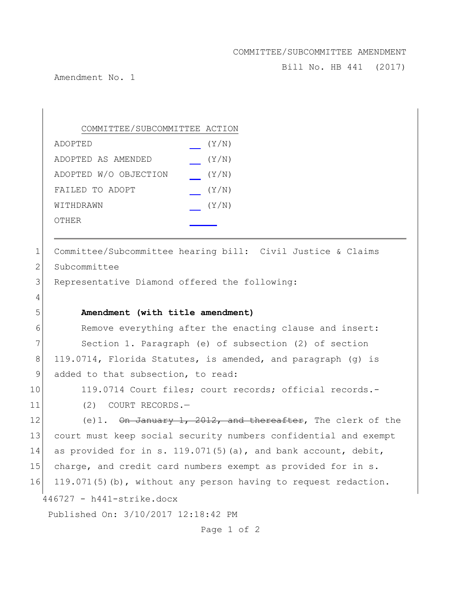## COMMITTEE/SUBCOMMITTEE AMENDMENT

Bill No. HB 441 (2017)

Amendment No. 1

| COMMITTEE/SUBCOMMITTEE ACTION |       |
|-------------------------------|-------|
| ADOPTED                       | (Y/N) |
| ADOPTED AS AMENDED            | (Y/N) |
| ADOPTED W/O OBJECTION         | (Y/N) |
| FAILED TO ADOPT               | (Y/N) |
| WITHDRAWN                     | (Y/N) |
| OTHER                         |       |

446727 - h441-strike.docx Published On: 3/10/2017 12:18:42 PM Page 1 of 2 1 Committee/Subcommittee hearing bill: Civil Justice & Claims 2 Subcommittee 3 Representative Diamond offered the following: 4 5 **Amendment (with title amendment)** 6 Remove everything after the enacting clause and insert: 7 Section 1. Paragraph (e) of subsection (2) of section 8 119.0714, Florida Statutes, is amended, and paragraph (g) is 9 added to that subsection, to read: 10 119.0714 Court files; court records; official records.-11 (2) COURT RECORDS.— 12  $(e)$  1. On January 1, 2012, and thereafter, The clerk of the 13 court must keep social security numbers confidential and exempt 14 as provided for in s. 119.071(5)(a), and bank account, debit, 15 charge, and credit card numbers exempt as provided for in s. 16 119.071(5)(b), without any person having to request redaction.